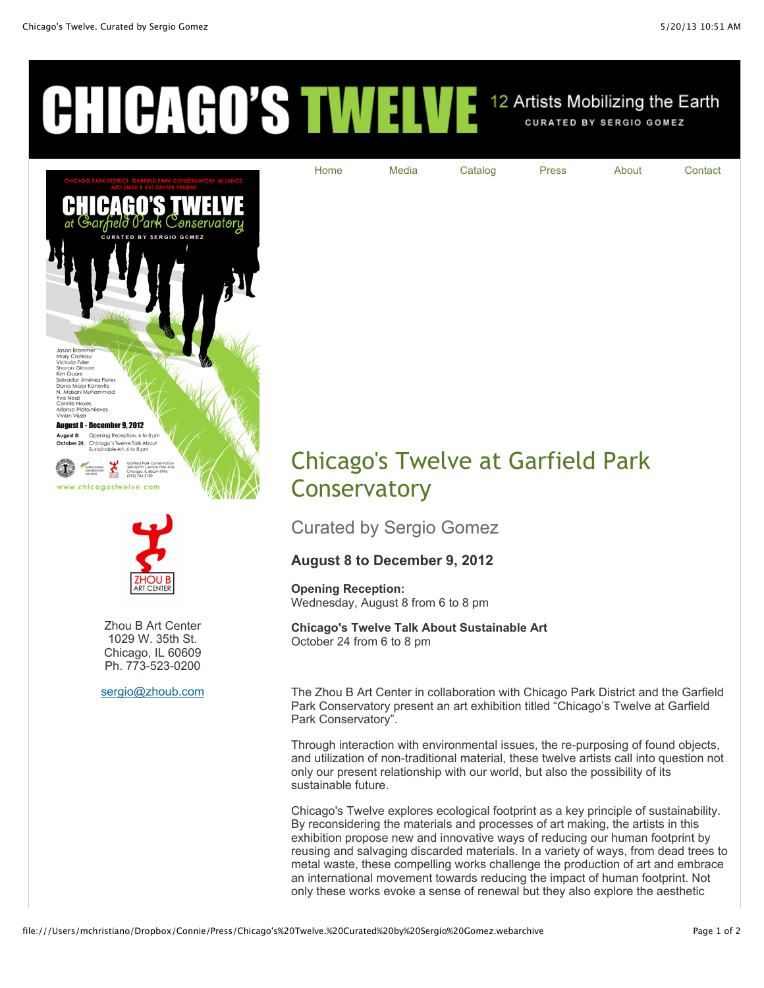## CHICAGO'S TWELVE 12 Artists Mobilizing the Earth





Zhou B Art Center 1029 W. 35th St. Chicago, IL 60609 Ph. 773-523-0200

[sergio@zhoub.com](mailto:sergio@zhoub.com)



[Home](http://www.chicagostwelve.com/index.html) [Media](http://www.chicagostwelve.com/media.html) [Catalog](http://www.chicagostwelve.com/catalog.html) [Press](http://www.chicagostwelve.com/press.html) [About](http://www.chicagostwelve.com/about.html) [Contact](http://www.chicagostwelve.com/contact.html)

Curated by Sergio Gomez

## **August 8 to December 9, 2012**

**Opening Reception:**  Wednesday, August 8 from 6 to 8 pm

**Chicago's Twelve Talk About Sustainable Art** October 24 from 6 to 8 pm

The Zhou B Art Center in collaboration with Chicago Park District and the Garfield Park Conservatory present an art exhibition titled "Chicago's Twelve at Garfield Park Conservatory".

Through interaction with environmental issues, the re-purposing of found objects, and utilization of non-traditional material, these twelve artists call into question not only our present relationship with our world, but also the possibility of its sustainable future.

Chicago's Twelve explores ecological footprint as a key principle of sustainability. By reconsidering the materials and processes of art making, the artists in this exhibition propose new and innovative ways of reducing our human footprint by reusing and salvaging discarded materials. In a variety of ways, from dead trees to metal waste, these compelling works challenge the production of art and embrace an international movement towards reducing the impact of human footprint. Not only these works evoke a sense of renewal but they also explore the aesthetic